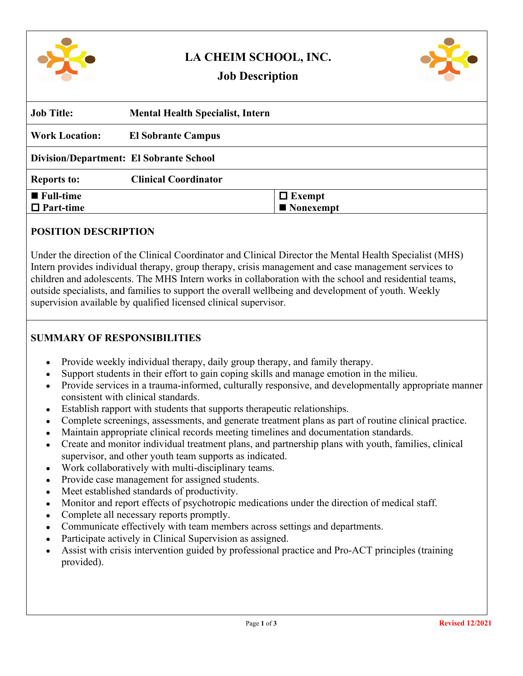

# **LA CHEIM SCHOOL, INC.**



## **Job Description**

| <b>Job Title:</b>                              | <b>Mental Health Specialist, Intern</b> |               |
|------------------------------------------------|-----------------------------------------|---------------|
| <b>Work Location:</b>                          | <b>El Sobrante Campus</b>               |               |
| <b>Division/Department: El Sobrante School</b> |                                         |               |
| <b>Reports to:</b>                             | <b>Clinical Coordinator</b>             |               |
| $\blacksquare$ Full-time                       |                                         | $\Box$ Exempt |
| $\Box$ Part-time                               |                                         | ■ Nonexempt   |

#### **POSITION DESCRIPTION**

Under the direction of the Clinical Coordinator and Clinical Director the Mental Health Specialist (MHS) Intern provides individual therapy, group therapy, crisis management and case management services to children and adolescents. The MHS Intern works in collaboration with the school and residential teams, outside specialists, and families to support the overall wellbeing and development of youth. Weekly supervision available by qualified licensed clinical supervisor.

### **SUMMARY OF RESPONSIBILITIES**

- Provide weekly individual therapy, daily group therapy, and family therapy.
- Support students in their effort to gain coping skills and manage emotion in the milieu.
- Provide services in a trauma-informed, culturally responsive, and developmentally appropriate manner consistent with clinical standards.
- Establish rapport with students that supports therapeutic relationships.
- Complete screenings, assessments, and generate treatment plans as part of routine clinical practice.
- Maintain appropriate clinical records meeting timelines and documentation standards.
- Create and monitor individual treatment plans, and partnership plans with youth, families, clinical supervisor, and other youth team supports as indicated.
- Work collaboratively with multi-disciplinary teams.
- Provide case management for assigned students.
- Meet established standards of productivity.
- Monitor and report effects of psychotropic medications under the direction of medical staff.
- Complete all necessary reports promptly.
- Communicate effectively with team members across settings and departments.
- Participate actively in Clinical Supervision as assigned.
- Assist with crisis intervention guided by professional practice and Pro-ACT principles (training provided).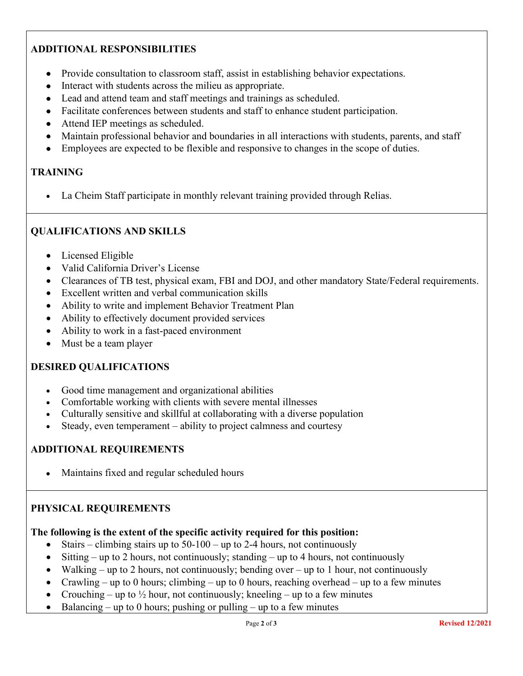## **ADDITIONAL RESPONSIBILITIES**

- Provide consultation to classroom staff, assist in establishing behavior expectations.
- Interact with students across the milieu as appropriate.
- Lead and attend team and staff meetings and trainings as scheduled.
- Facilitate conferences between students and staff to enhance student participation.
- Attend IEP meetings as scheduled.
- Maintain professional behavior and boundaries in all interactions with students, parents, and staff
- Employees are expected to be flexible and responsive to changes in the scope of duties.

#### **TRAINING**

La Cheim Staff participate in monthly relevant training provided through Relias.

#### **QUALIFICATIONS AND SKILLS**

- Licensed Eligible
- Valid California Driver's License
- Clearances of TB test, physical exam, FBI and DOJ, and other mandatory State/Federal requirements.
- Excellent written and verbal communication skills
- Ability to write and implement Behavior Treatment Plan
- Ability to effectively document provided services
- Ability to work in a fast-paced environment
- Must be a team player

#### **DESIRED QUALIFICATIONS**

- Good time management and organizational abilities
- Comfortable working with clients with severe mental illnesses
- Culturally sensitive and skillful at collaborating with a diverse population
- Steady, even temperament ability to project calmness and courtesy

#### **ADDITIONAL REQUIREMENTS**

• Maintains fixed and regular scheduled hours

#### **PHYSICAL REQUIREMENTS**

#### **The following is the extent of the specific activity required for this position:**

- Stairs climbing stairs up to  $50-100$  up to 2-4 hours, not continuously
- Sitting up to 2 hours, not continuously; standing up to 4 hours, not continuously
- Walking up to 2 hours, not continuously; bending over up to 1 hour, not continuously
- Crawling up to 0 hours; climbing up to 0 hours, reaching overhead up to a few minutes
- Crouching up to  $\frac{1}{2}$  hour, not continuously; kneeling up to a few minutes
- Balancing up to 0 hours; pushing or pulling up to a few minutes